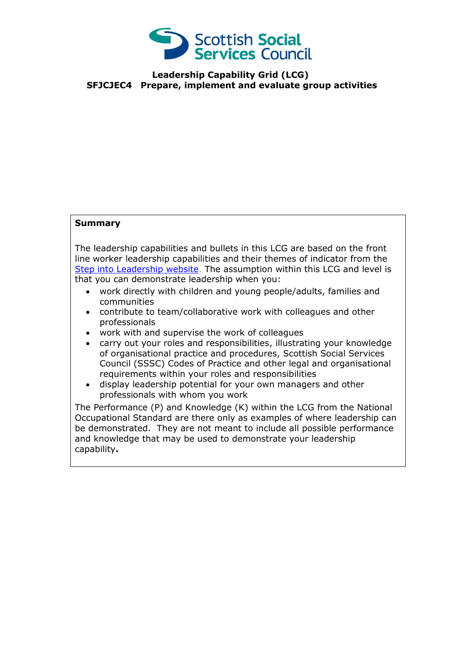

## **Leadership Capability Grid (LCG) SFJCJEC4 Prepare, implement and evaluate group activities**

## **Summary**

The leadership capabilities and bullets in this LCG are based on the front line worker leadership capabilities and their themes of indicator from the [Step into Leadership website.](http://www.stepintoleadership.info/) The assumption within this LCG and level is that you can demonstrate leadership when you:

- work directly with children and young people/adults, families and communities
- contribute to team/collaborative work with colleagues and other professionals
- work with and supervise the work of colleagues
- carry out your roles and responsibilities, illustrating your knowledge of organisational practice and procedures, Scottish Social Services Council (SSSC) Codes of Practice and other legal and organisational requirements within your roles and responsibilities
- display leadership potential for your own managers and other professionals with whom you work

The Performance (P) and Knowledge (K) within the LCG from the National Occupational Standard are there only as examples of where leadership can be demonstrated. They are not meant to include all possible performance and knowledge that may be used to demonstrate your leadership capability**.**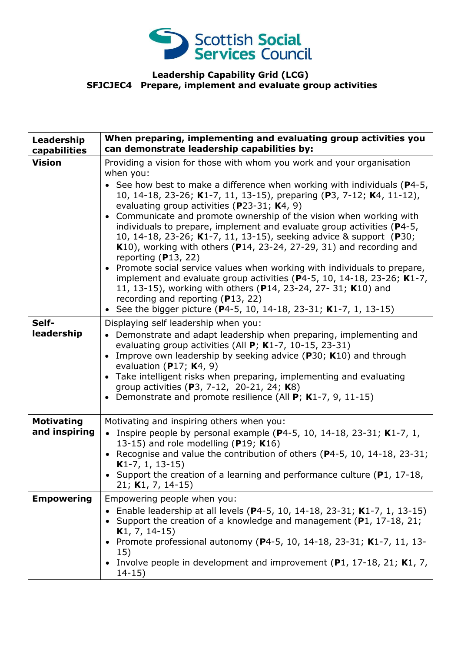

## **Leadership Capability Grid (LCG) SFJCJEC4 Prepare, implement and evaluate group activities**

| Leadership<br>capabilities         | When preparing, implementing and evaluating group activities you<br>can demonstrate leadership capabilities by:                                                                                                                                                                                                                                                                                                                                                                                                                                                                                                                                                                                                                                                                                                                                                                                                                                                                    |
|------------------------------------|------------------------------------------------------------------------------------------------------------------------------------------------------------------------------------------------------------------------------------------------------------------------------------------------------------------------------------------------------------------------------------------------------------------------------------------------------------------------------------------------------------------------------------------------------------------------------------------------------------------------------------------------------------------------------------------------------------------------------------------------------------------------------------------------------------------------------------------------------------------------------------------------------------------------------------------------------------------------------------|
| <b>Vision</b>                      | Providing a vision for those with whom you work and your organisation<br>when you:<br>• See how best to make a difference when working with individuals ( $P4-5$ ,<br>10, 14-18, 23-26; K1-7, 11, 13-15), preparing (P3, 7-12; K4, 11-12),<br>evaluating group activities ( $P$ 23-31; K4, 9)<br>Communicate and promote ownership of the vision when working with<br>$\bullet$<br>individuals to prepare, implement and evaluate group activities (P4-5,<br>10, 14-18, 23-26; K1-7, 11, 13-15), seeking advice & support (P30;<br>$K10$ ), working with others (P14, 23-24, 27-29, 31) and recording and<br>reporting $(P13, 22)$<br>Promote social service values when working with individuals to prepare,<br>$\bullet$<br>implement and evaluate group activities ( $P$ 4-5, 10, 14-18, 23-26; K1-7,<br>11, 13-15), working with others (P14, 23-24, 27-31; K10) and<br>recording and reporting (P13, 22)<br>• See the bigger picture (P4-5, 10, 14-18, 23-31; K1-7, 1, 13-15) |
| Self-<br>leadership                | Displaying self leadership when you:<br>• Demonstrate and adapt leadership when preparing, implementing and<br>evaluating group activities (All $P$ ; K1-7, 10-15, 23-31)<br>Improve own leadership by seeking advice (P30; K10) and through<br>$\bullet$<br>evaluation (P17; $K4$ , 9)<br>• Take intelligent risks when preparing, implementing and evaluating<br>group activities (P3, 7-12, 20-21, 24; K8)<br>• Demonstrate and promote resilience (All $P$ ; K1-7, 9, 11-15)                                                                                                                                                                                                                                                                                                                                                                                                                                                                                                   |
| <b>Motivating</b><br>and inspiring | Motivating and inspiring others when you:<br>• Inspire people by personal example ( $P4-5$ , 10, 14-18, 23-31; K1-7, 1,<br>13-15) and role modelling ( $P19$ ; K16)<br>• Recognise and value the contribution of others (P4-5, 10, 14-18, 23-31;<br>$K1-7, 1, 13-15)$<br>• Support the creation of a learning and performance culture ( $P1$ , 17-18,<br>21; K1, 7, 14-15)                                                                                                                                                                                                                                                                                                                                                                                                                                                                                                                                                                                                         |
| <b>Empowering</b>                  | Empowering people when you:<br>Enable leadership at all levels (P4-5, 10, 14-18, 23-31; K1-7, 1, 13-15)<br>Support the creation of a knowledge and management (P1, 17-18, 21;<br>$K1, 7, 14-15)$<br>Promote professional autonomy (P4-5, 10, 14-18, 23-31; K1-7, 11, 13-<br>15)<br>• Involve people in development and improvement (P1, 17-18, 21; K1, 7,<br>$14 - 15$                                                                                                                                                                                                                                                                                                                                                                                                                                                                                                                                                                                                             |